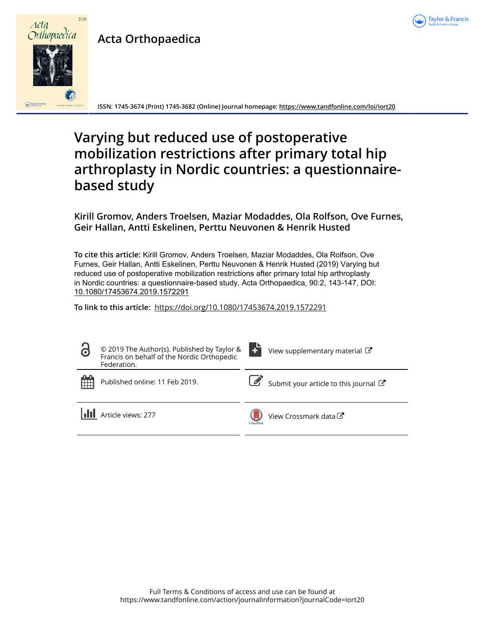

# **Acta Orthopaedica**



**ISSN: 1745-3674 (Print) 1745-3682 (Online) Journal homepage:<https://www.tandfonline.com/loi/iort20>**

## **Varying but reduced use of postoperative mobilization restrictions after primary total hip arthroplasty in Nordic countries: a questionnairebased study**

**Kirill Gromov, Anders Troelsen, Maziar Modaddes, Ola Rolfson, Ove Furnes, Geir Hallan, Antti Eskelinen, Perttu Neuvonen & Henrik Husted**

**To cite this article:** Kirill Gromov, Anders Troelsen, Maziar Modaddes, Ola Rolfson, Ove Furnes, Geir Hallan, Antti Eskelinen, Perttu Neuvonen & Henrik Husted (2019) Varying but reduced use of postoperative mobilization restrictions after primary total hip arthroplasty in Nordic countries: a questionnaire-based study, Acta Orthopaedica, 90:2, 143-147, DOI: [10.1080/17453674.2019.1572291](https://www.tandfonline.com/action/showCitFormats?doi=10.1080/17453674.2019.1572291)

**To link to this article:** <https://doi.org/10.1080/17453674.2019.1572291>

| $\ddot{\mathbf{C}}$ | $\circ$ 2019 The Author(s). Published by Taylor & $\left\{\begin{matrix} 1 \\ 1 \end{matrix}\right\}$<br>Francis on behalf of the Nordic Orthopedic<br>Federation. |           | View supplementary material $\mathbb{Z}$ |
|---------------------|--------------------------------------------------------------------------------------------------------------------------------------------------------------------|-----------|------------------------------------------|
| 雦                   | Published online: 11 Feb 2019.                                                                                                                                     |           | Submit your article to this journal C    |
|                     | Article views: 277                                                                                                                                                 | CrossMark | View Crossmark data C                    |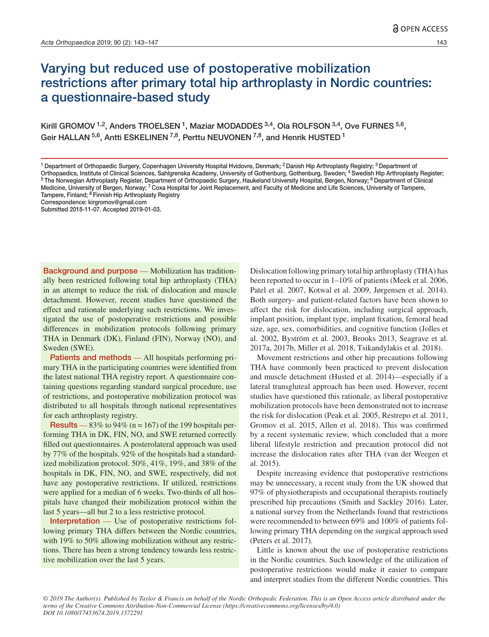### Varying but reduced use of postoperative mobilization restrictions after primary total hip arthroplasty in Nordic countries: a questionnaire-based study

Kirill GROMOV<sup>1,2</sup>, Anders TROELSEN<sup>1</sup>, Maziar MODADDES<sup>3,4</sup>, Ola ROLFSON<sup>3,4</sup>, Ove FURNES<sup>5,6</sup>, Geir HALLAN  $5,6$ , Antti ESKELINEN  $7,8$ , Perttu NEUVONEN  $7,8$ , and Henrik HUSTED 1

Correspondence: kirgromov@gmail.com

Background and purpose — Mobilization has traditionally been restricted following total hip arthroplasty (THA) in an attempt to reduce the risk of dislocation and muscle detachment. However, recent studies have questioned the effect and rationale underlying such restrictions. We investigated the use of postoperative restrictions and possible differences in mobilization protocols following primary THA in Denmark (DK), Finland (FIN), Norway (NO), and Sweden (SWE).

Patients and methods — All hospitals performing primary THA in the participating countries were identified from the latest national THA registry report. A questionnaire containing questions regarding standard surgical procedure, use of restrictions, and postoperative mobilization protocol was distributed to all hospitals through national representatives for each arthroplasty registry.

**Results** — 83% to 94% ( $n = 167$ ) of the 199 hospitals performing THA in DK, FIN, NO, and SWE returned correctly filled out questionnaires. A posterolateral approach was used by 77% of the hospitals. 92% of the hospitals had a standardized mobilization protocol. 50%, 41%, 19%, and 38% of the hospitals in DK, FIN, NO, and SWE, respectively, did not have any postoperative restrictions. If utilized, restrictions were applied for a median of 6 weeks. Two-thirds of all hospitals have changed their mobilization protocol within the last 5 years—all but 2 to a less restrictive protocol.

Interpretation — Use of postoperative restrictions following primary THA differs between the Nordic countries, with 19% to 50% allowing mobilization without any restrictions. There has been a strong tendency towards less restrictive mobilization over the last 5 years.

Dislocation following primary total hip arthroplasty (THA) has been reported to occur in 1–10% of patients (Meek et al. 2006, Patel et al. 2007, Kotwal et al. 2009, Jørgensen et al. 2014). Both surgery- and patient-related factors have been shown to affect the risk for dislocation, including surgical approach, implant position, implant type, implant fixation, femoral head size, age, sex, comorbidities, and cognitive function (Jolles et al. 2002, Byström et al. 2003, Brooks 2013, Seagrave et al. 2017a, 2017b, Miller et al. 2018, Tsikandylakis et al. 2018).

Movement restrictions and other hip precautions following THA have commonly been practiced to prevent dislocation and muscle detachment (Husted et al. 2014)—especially if a lateral transgluteal approach has been used. However, recent studies have questioned this rationale, as liberal postoperative mobilization protocols have been demonstrated not to increase the risk for dislocation (Peak et al. 2005, Restrepo et al. 2011, Gromov et al. 2015, Allen et al. 2018). This was confirmed by a recent systematic review, which concluded that a more liberal lifestyle restriction and precaution protocol did not increase the dislocation rates after THA (van der Weegen et al. 2015).

Despite increasing evidence that postoperative restrictions may be unnecessary, a recent study from the UK showed that 97% of physiotherapists and occupational therapists routinely prescribed hip precautions (Smith and Sackley 2016). Later, a national survey from the Netherlands found that restrictions were recommended to between 69% and 100% of patients following primary THA depending on the surgical approach used (Peters et al. 2017).

Little is known about the use of postoperative restrictions in the Nordic countries. Such knowledge of the utilization of postoperative restrictions would make it easier to compare and interpret studies from the different Nordic countries. This

*© 2019 The Author(s). Published by Taylor & Francis on behalf of the Nordic Orthopedic Federation. This is an Open Access article distributed under the terms of the Creative Commons Attribution-Non-Commercial License (https://creativecommons.org/licenses/by/4.0) DOI 10.1080/17453674.2019.1572291*

<sup>&</sup>lt;sup>1</sup> Department of Orthopaedic Surgery, Copenhagen University Hospital Hvidovre, Denmark; <sup>2</sup> Danish Hip Arthroplasty Registry; <sup>3</sup> Department of Orthopaedics, Institute of Clinical Sciences, Sahlgrenska Academy, University of Gothenburg, Gothenburg, Sweden, <sup>4</sup> Swedish Hip Arthroplasty Register;<br><sup>5</sup> The Norwegian Arthroplasty Register, Department of Orthopaedic Sur Medicine, University of Bergen, Norway; 7 Coxa Hospital for Joint Replacement, and Faculty of Medicine and Life Sciences, University of Tampere, Tampere, Finland; <sup>8</sup> Finnish Hip Arthroplasty Registry

Submitted 2018-11-07. Accepted 2019-01-03.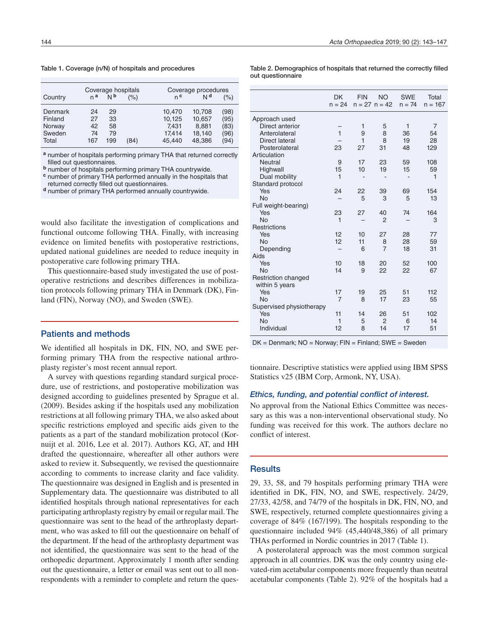Table 1. Coverage (n/N) of hospitals and procedures

| Country | n <sup>a</sup> | N <sub>p</sub> | Coverage hospitals<br>(% ) | n <sup>c</sup> | Coverage procedures<br>Νq | (%)  |
|---------|----------------|----------------|----------------------------|----------------|---------------------------|------|
| Denmark | 24             | 29             | (84)                       | 10,470         | 10,708                    | (98) |
| Finland | 27             | 33             |                            | 10,125         | 10,657                    | (95) |
| Norway  | 42             | 58             |                            | 7,431          | 8,881                     | (83) |
| Sweden  | 74             | 79             |                            | 17,414         | 18,140                    | (96) |
| Total   | 167            | 199            |                            | 45.440         | 48,386                    | (94) |

**<sup>a</sup>** number of hospitals performing primary THA that returned correctly filled out questionnaires.

**<sup>b</sup>** number of hospitals performing primary THA countrywide.

**<sup>c</sup>** number of primary THA performed annually in the hospitals that returned correctly filled out questionnaires.

**<sup>d</sup>** number of primary THA performed annually countrywide.

would also facilitate the investigation of complications and functional outcome following THA. Finally, with increasing evidence on limited benefits with postoperative restrictions, updated national guidelines are needed to reduce inequity in postoperative care following primary THA.

This questionnaire-based study investigated the use of postoperative restrictions and describes differences in mobilization protocols following primary THA in Denmark (DK), Finland (FIN), Norway (NO), and Sweden (SWE).

#### Patients and methods

We identified all hospitals in DK, FIN, NO, and SWE performing primary THA from the respective national arthroplasty register's most recent annual report.

A survey with questions regarding standard surgical procedure, use of restrictions, and postoperative mobilization was designed according to guidelines presented by Sprague et al. (2009). Besides asking if the hospitals used any mobilization restrictions at all following primary THA, we also asked about specific restrictions employed and specific aids given to the patients as a part of the standard mobilization protocol (Kornuijt et al. 2016, Lee et al. 2017). Authors KG, AT, and HH drafted the questionnaire, whereafter all other authors were asked to review it. Subsequently, we revised the questionnaire according to comments to increase clarity and face validity. The questionnaire was designed in English and is presented in Supplementary data. The questionnaire was distributed to all identified hospitals through national representatives for each participating arthroplasty registry by email or regular mail. The questionnaire was sent to the head of the arthroplasty department, who was asked to fill out the questionnaire on behalf of the department. If the head of the arthroplasty department was not identified, the questionnaire was sent to the head of the orthopedic department. Approximately 1 month after sending out the questionnaire, a letter or email was sent out to all nonrespondents with a reminder to complete and return the ques-

Table 2. Demographics of hospitals that returned the correctly filled out questionnaire

|                          | <b>DK</b><br>$n = 24$ | <b>FIN</b> | <b>NO</b><br>$n = 27$ $n = 42$ | <b>SWE</b><br>$n = 74$ | Total<br>$n = 167$ |
|--------------------------|-----------------------|------------|--------------------------------|------------------------|--------------------|
| Approach used            |                       |            |                                |                        |                    |
| Direct anterior          |                       | 1          | 5                              | 1                      | $\overline{7}$     |
| Anterolateral            | $\mathbf{1}$          | 9          | 8                              | 36                     | 54                 |
| Direct lateral           |                       | 1          | 8                              | 19                     | 28                 |
| Posterolateral           | 23                    | 27         | 31                             | 48                     | 129                |
| Articulation             |                       |            |                                |                        |                    |
| Neutral                  | 9                     | 17         | 23                             | 59                     | 108                |
| Highwall                 | 15                    | 10         | 19                             | 15                     | 59                 |
| Dual mobility            | 1                     |            |                                |                        | 1                  |
| Standard protocol        |                       |            |                                |                        |                    |
| Yes                      | 24                    | 22         | 39                             | 69                     | 154                |
| <b>No</b>                |                       | 5          | 3                              | 5                      | 13                 |
| Full weight-bearing)     |                       |            |                                |                        |                    |
| Yes                      | 23                    | 27         | 40                             | 74                     | 164                |
| <b>No</b>                | $\mathbf{1}$          |            | $\overline{2}$                 |                        | 3                  |
| Restrictions             |                       |            |                                |                        |                    |
| Yes                      | 12                    | 10         | 27                             | 28                     | 77                 |
| No                       | 12                    | 11         | 8                              | 28                     | 59                 |
| Depending                |                       | 6          | $\overline{7}$                 | 18                     | 31                 |
| Aids                     |                       |            |                                |                        |                    |
| Yes                      | 10                    | 18         | 20                             | 52                     | 100                |
| <b>No</b>                | 14                    | 9          | 22                             | 22                     | 67                 |
| Restriction changed      |                       |            |                                |                        |                    |
| within 5 years           |                       |            |                                |                        |                    |
| Yes                      | 17                    | 19         | 25                             | 51                     | 112                |
| <b>No</b>                | $\overline{7}$        | 8          | 17                             | 23                     | 55                 |
| Supervised physiotherapy |                       |            |                                |                        |                    |
| Yes                      | 11                    | 14         | 26                             | 51                     | 102                |
| <b>No</b>                | $\mathbf{1}$          | 5          | $\mathfrak{p}$                 | 6                      | 14                 |
| Individual               | 12                    | 8          | 14                             | 17                     | 51                 |
|                          |                       |            |                                |                        |                    |

DK = Denmark; NO = Norway; FIN = Finland; SWE = Sweden

tionnaire. Descriptive statistics were applied using IBM SPSS Statistics v25 (IBM Corp, Armonk, NY, USA).

#### *Ethics, funding, and potential conflict of interest.*

No approval from the National Ethics Committee was necessary as this was a non-interventional observational study. No funding was received for this work. The authors declare no conflict of interest.

#### **Results**

29, 33, 58, and 79 hospitals performing primary THA were identified in DK, FIN, NO, and SWE, respectively. 24/29, 27/33, 42/58, and 74/79 of the hospitals in DK, FIN, NO, and SWE, respectively, returned complete questionnaires giving a coverage of 84% (167/199). The hospitals responding to the questionnaire included 94% (45,440/48,386) of all primary THAs performed in Nordic countries in 2017 (Table 1).

A posterolateral approach was the most common surgical approach in all countries. DK was the only country using elevated-rim acetabular components more frequently than neutral acetabular components (Table 2). 92% of the hospitals had a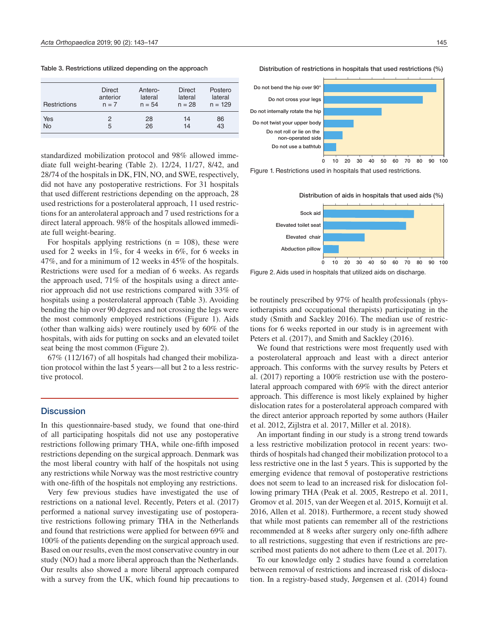Table 3. Restrictions utilized depending on the approach

| <b>Restrictions</b> | <b>Direct</b> | Antero-  | <b>Direct</b> | Postero   |
|---------------------|---------------|----------|---------------|-----------|
|                     | anterior      | lateral  | lateral       | lateral   |
|                     | $n = 7$       | $n = 54$ | $n = 28$      | $n = 129$ |
| Yes                 | 2             | 28       | 14            | 86        |
| <b>No</b>           | 5             | 26       | 14            | 43        |

standardized mobilization protocol and 98% allowed immediate full weight-bearing (Table 2). 12/24, 11/27, 8/42, and 28/74 of the hospitals in DK, FIN, NO, and SWE, respectively, did not have any postoperative restrictions. For 31 hospitals that used different restrictions depending on the approach, 28 used restrictions for a posterolateral approach, 11 used restrictions for an anterolateral approach and 7 used restrictions for a direct lateral approach. 98% of the hospitals allowed immediate full weight-bearing.

For hospitals applying restrictions ( $n = 108$ ), these were used for 2 weeks in 1%, for 4 weeks in 6%, for 6 weeks in 47%, and for a minimum of 12 weeks in 45% of the hospitals. Restrictions were used for a median of 6 weeks. As regards the approach used, 71% of the hospitals using a direct anterior approach did not use restrictions compared with 33% of hospitals using a posterolateral approach (Table 3). Avoiding bending the hip over 90 degrees and not crossing the legs were the most commonly employed restrictions (Figure 1). Aids (other than walking aids) were routinely used by 60% of the hospitals, with aids for putting on socks and an elevated toilet seat being the most common (Figure 2).

67% (112/167) of all hospitals had changed their mobilization protocol within the last 5 years—all but 2 to a less restrictive protocol.

#### **Discussion**

In this questionnaire-based study, we found that one-third of all participating hospitals did not use any postoperative restrictions following primary THA, while one-fifth imposed restrictions depending on the surgical approach. Denmark was the most liberal country with half of the hospitals not using any restrictions while Norway was the most restrictive country with one-fifth of the hospitals not employing any restrictions.

Very few previous studies have investigated the use of restrictions on a national level. Recently, Peters et al. (2017) performed a national survey investigating use of postoperative restrictions following primary THA in the Netherlands and found that restrictions were applied for between 69% and 100% of the patients depending on the surgical approach used. Based on our results, even the most conservative country in our study (NO) had a more liberal approach than the Netherlands. Our results also showed a more liberal approach compared with a survey from the UK, which found hip precautions to









Figure 2. Aids used in hospitals that utilized aids on discharge.

be routinely prescribed by 97% of health professionals (physiotherapists and occupational therapists) participating in the study (Smith and Sackley 2016). The median use of restrictions for 6 weeks reported in our study is in agreement with Peters et al. (2017), and Smith and Sackley (2016).

We found that restrictions were most frequently used with a posterolateral approach and least with a direct anterior approach. This conforms with the survey results by Peters et al. (2017) reporting a 100% restriction use with the posterolateral approach compared with 69% with the direct anterior approach. This difference is most likely explained by higher dislocation rates for a posterolateral approach compared with the direct anterior approach reported by some authors (Hailer et al. 2012, Zijlstra et al. 2017, Miller et al. 2018).

An important finding in our study is a strong trend towards a less restrictive mobilization protocol in recent years: twothirds of hospitals had changed their mobilization protocol to a less restrictive one in the last 5 years. This is supported by the emerging evidence that removal of postoperative restrictions does not seem to lead to an increased risk for dislocation following primary THA (Peak et al. 2005, Restrepo et al. 2011, Gromov et al. 2015, van der Weegen et al. 2015, Kornuijt et al. 2016, Allen et al. 2018). Furthermore, a recent study showed that while most patients can remember all of the restrictions recommended at 8 weeks after surgery only one-fifth adhere to all restrictions, suggesting that even if restrictions are prescribed most patients do not adhere to them (Lee et al. 2017).

To our knowledge only 2 studies have found a correlation between removal of restrictions and increased risk of dislocation. In a registry-based study, Jørgensen et al. (2014) found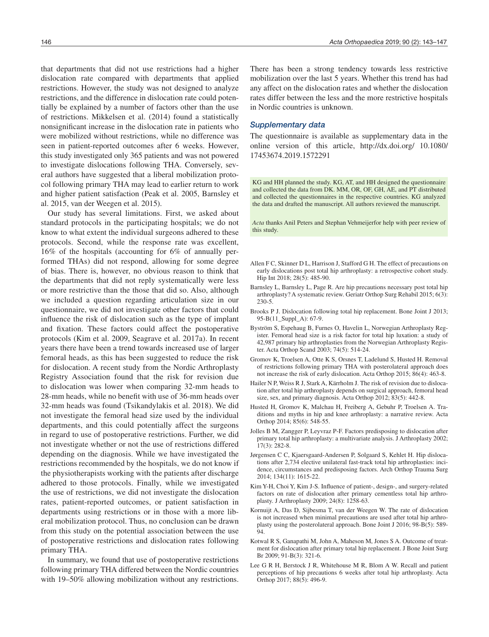that departments that did not use restrictions had a higher dislocation rate compared with departments that applied restrictions. However, the study was not designed to analyze restrictions, and the difference in dislocation rate could potentially be explained by a number of factors other than the use of restrictions. Mikkelsen et al. (2014) found a statistically nonsignificant increase in the dislocation rate in patients who were mobilized without restrictions, while no difference was seen in patient-reported outcomes after 6 weeks. However, this study investigated only 365 patients and was not powered to investigate dislocations following THA. Conversely, several authors have suggested that a liberal mobilization protocol following primary THA may lead to earlier return to work and higher patient satisfaction (Peak et al. 2005, Barnsley et al. 2015, van der Weegen et al. 2015).

Our study has several limitations. First, we asked about standard protocols in the participating hospitals; we do not know to what extent the individual surgeons adhered to these protocols. Second, while the response rate was excellent, 16% of the hospitals (accounting for 6% of annually performed THAs) did not respond, allowing for some degree of bias. There is, however, no obvious reason to think that the departments that did not reply systematically were less or more restrictive than the those that did so. Also, although we included a question regarding articulation size in our questionnaire, we did not investigate other factors that could influence the risk of dislocation such as the type of implant and fixation. These factors could affect the postoperative protocols (Kim et al. 2009, Seagrave et al. 2017a). In recent years there have been a trend towards increased use of larger femoral heads, as this has been suggested to reduce the risk for dislocation. A recent study from the Nordic Arthroplasty Registry Association found that the risk for revision due to dislocation was lower when comparing 32-mm heads to 28-mm heads, while no benefit with use of 36-mm heads over 32-mm heads was found (Tsikandylakis et al. 2018). We did not investigate the femoral head size used by the individual departments, and this could potentially affect the surgeons in regard to use of postoperative restrictions. Further, we did not investigate whether or not the use of restrictions differed depending on the diagnosis. While we have investigated the restrictions recommended by the hospitals, we do not know if the physiotherapists working with the patients after discharge adhered to those protocols. Finally, while we investigated the use of restrictions, we did not investigate the dislocation rates, patient-reported outcomes, or patient satisfaction in departments using restrictions or in those with a more liberal mobilization protocol. Thus, no conclusion can be drawn from this study on the potential association between the use of postoperative restrictions and dislocation rates following primary THA.

In summary, we found that use of postoperative restrictions following primary THA differed between the Nordic countries with 19–50% allowing mobilization without any restrictions.

There has been a strong tendency towards less restrictive mobilization over the last 5 years. Whether this trend has had any affect on the dislocation rates and whether the dislocation rates differ between the less and the more restrictive hospitals in Nordic countries is unknown.

#### *Supplementary data*

The questionnaire is available as supplementary data in the online version of this article, http://dx.doi.org/ 10.1080/ 17453674.2019.1572291

KG and HH planned the study. KG, AT, and HH designed the questionnaire and collected the data from DK. MM, OR, OF, GH, AE, and PT distributed and collected the questionnaires in the respective countries. KG analyzed the data and drafted the manuscript. All authors reviewed the manuscript.

*Acta* thanks Anil Peters and Stephan Vehmeijerfor help with peer review of this study.

- Allen F C, Skinner D L, Harrison J, Stafford G H. The effect of precautions on early dislocations post total hip arthroplasty: a retrospective cohort study. Hip Int 2018; 28(5): 485-90.
- Barnsley L, Barnsley L, Page R. Are hip precautions necessary post total hip arthroplasty? A systematic review. Geriatr Orthop Surg Rehabil 2015; 6(3): 230-5.
- Brooks P J. Dislocation following total hip replacement. Bone Joint J 2013; 95-B(11\_Suppl\_A): 67-9.
- Byström S, Espehaug B, Furnes O, Havelin L, Norwegian Arthroplasty Register. Femoral head size is a risk factor for total hip luxation: a study of 42,987 primary hip arthroplasties from the Norwegian Arthroplasty Register. Acta Orthop Scand 2003; 74(5): 514-24.
- Gromov K, Troelsen A, Otte K S, Orsnes T, Ladelund S, Husted H. Removal of restrictions following primary THA with posterolateral approach does not increase the risk of early dislocation. Acta Orthop 2015; 86(4): 463-8.
- Hailer N P, Weiss R J, Stark A, Kärrholm J. The risk of revision due to dislocation after total hip arthroplasty depends on surgical approach, femoral head size, sex, and primary diagnosis. Acta Orthop 2012; 83(5): 442-8.
- Husted H, Gromov K, Malchau H, Freiberg A, Gebuhr P, Troelsen A. Traditions and myths in hip and knee arthroplasty: a narrative review. Acta Orthop 2014; 85(6): 548-55.
- Jolles B M, Zangger P, Leyvraz P-F. Factors predisposing to dislocation after primary total hip arthroplasty: a multivariate analysis. J Arthroplasty 2002; 17(3): 282-8.
- Jørgensen C C, Kjaersgaard-Andersen P, Solgaard S, Kehlet H. Hip dislocations after 2,734 elective unilateral fast-track total hip arthroplasties: incidence, circumstances and predisposing factors. Arch Orthop Trauma Surg 2014; 134(11): 1615-22.
- Kim Y-H, Choi Y, Kim J-S. Influence of patient-, design-, and surgery-related factors on rate of dislocation after primary cementless total hip arthroplasty. J Arthroplasty 2009; 24(8): 1258-63.
- Kornuijt A, Das D, Sijbesma T, van der Weegen W. The rate of dislocation is not increased when minimal precautions are used after total hip arthroplasty using the posterolateral approach. Bone Joint J 2016; 98-B(5): 589- 94.
- Kotwal R S, Ganapathi M, John A, Maheson M, Jones S A. Outcome of treatment for dislocation after primary total hip replacement. J Bone Joint Surg Br 2009; 91-B(3): 321-6.
- Lee G R H, Berstock J R, Whitehouse M R, Blom A W. Recall and patient perceptions of hip precautions 6 weeks after total hip arthroplasty. Acta Orthop 2017; 88(5): 496-9.